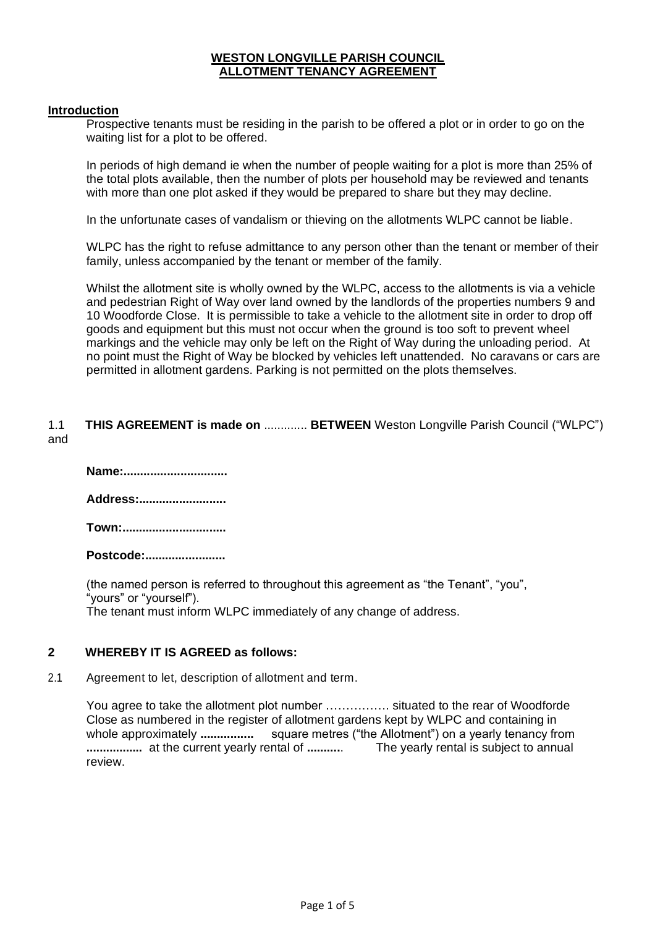# **WESTON LONGVILLE PARISH COUNCIL ALLOTMENT TENANCY AGREEMENT**

#### **Introduction**

Prospective tenants must be residing in the parish to be offered a plot or in order to go on the waiting list for a plot to be offered.

In periods of high demand ie when the number of people waiting for a plot is more than 25% of the total plots available, then the number of plots per household may be reviewed and tenants with more than one plot asked if they would be prepared to share but they may decline.

In the unfortunate cases of vandalism or thieving on the allotments WLPC cannot be liable.

WLPC has the right to refuse admittance to any person other than the tenant or member of their family, unless accompanied by the tenant or member of the family.

Whilst the allotment site is wholly owned by the WLPC, access to the allotments is via a vehicle and pedestrian Right of Way over land owned by the landlords of the properties numbers 9 and 10 Woodforde Close. It is permissible to take a vehicle to the allotment site in order to drop off goods and equipment but this must not occur when the ground is too soft to prevent wheel markings and the vehicle may only be left on the Right of Way during the unloading period. At no point must the Right of Way be blocked by vehicles left unattended. No caravans or cars are permitted in allotment gardens. Parking is not permitted on the plots themselves.

## 1.1 **THIS AGREEMENT is made on** ............. **BETWEEN** Weston Longville Parish Council ("WLPC") and

| Name:     |
|-----------|
| Address:  |
| Town:     |
| Postcode: |

(the named person is referred to throughout this agreement as "the Tenant", "you", "yours" or "yourself"). The tenant must inform WLPC immediately of any change of address.

# **2 WHEREBY IT IS AGREED as follows:**

2.1 Agreement to let, description of allotment and term.

You agree to take the allotment plot number ……………. situated to the rear of Woodforde Close as numbered in the register of allotment gardens kept by WLPC and containing in whole approximately **................** square metres ("the Allotment") on a yearly tenancy from **.................** at the current yearly rental of **..........**. The yearly rental is subject to annual review.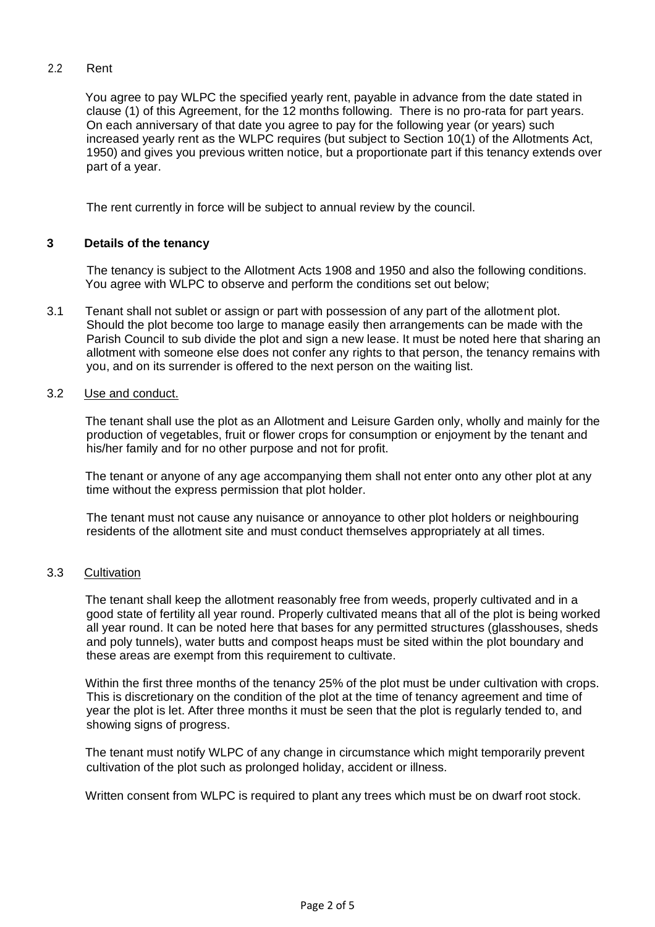## 2.2 Rent

You agree to pay WLPC the specified yearly rent, payable in advance from the date stated in clause (1) of this Agreement, for the 12 months following. There is no pro-rata for part years. On each anniversary of that date you agree to pay for the following year (or years) such increased yearly rent as the WLPC requires (but subject to Section 10(1) of the Allotments Act, 1950) and gives you previous written notice, but a proportionate part if this tenancy extends over part of a year.

The rent currently in force will be subject to annual review by the council.

## **3 Details of the tenancy**

The tenancy is subject to the Allotment Acts 1908 and 1950 and also the following conditions. You agree with WLPC to observe and perform the conditions set out below;

3.1 Tenant shall not sublet or assign or part with possession of any part of the allotment plot. Should the plot become too large to manage easily then arrangements can be made with the Parish Council to sub divide the plot and sign a new lease. It must be noted here that sharing an allotment with someone else does not confer any rights to that person, the tenancy remains with you, and on its surrender is offered to the next person on the waiting list.

## 3.2 Use and conduct.

The tenant shall use the plot as an Allotment and Leisure Garden only, wholly and mainly for the production of vegetables, fruit or flower crops for consumption or enjoyment by the tenant and his/her family and for no other purpose and not for profit.

The tenant or anyone of any age accompanying them shall not enter onto any other plot at any time without the express permission that plot holder.

The tenant must not cause any nuisance or annoyance to other plot holders or neighbouring residents of the allotment site and must conduct themselves appropriately at all times.

#### 3.3 Cultivation

The tenant shall keep the allotment reasonably free from weeds, properly cultivated and in a good state of fertility all year round. Properly cultivated means that all of the plot is being worked all year round. It can be noted here that bases for any permitted structures (glasshouses, sheds and poly tunnels), water butts and compost heaps must be sited within the plot boundary and these areas are exempt from this requirement to cultivate.

Within the first three months of the tenancy 25% of the plot must be under cultivation with crops. This is discretionary on the condition of the plot at the time of tenancy agreement and time of year the plot is let. After three months it must be seen that the plot is regularly tended to, and showing signs of progress.

The tenant must notify WLPC of any change in circumstance which might temporarily prevent cultivation of the plot such as prolonged holiday, accident or illness.

Written consent from WLPC is required to plant any trees which must be on dwarf root stock.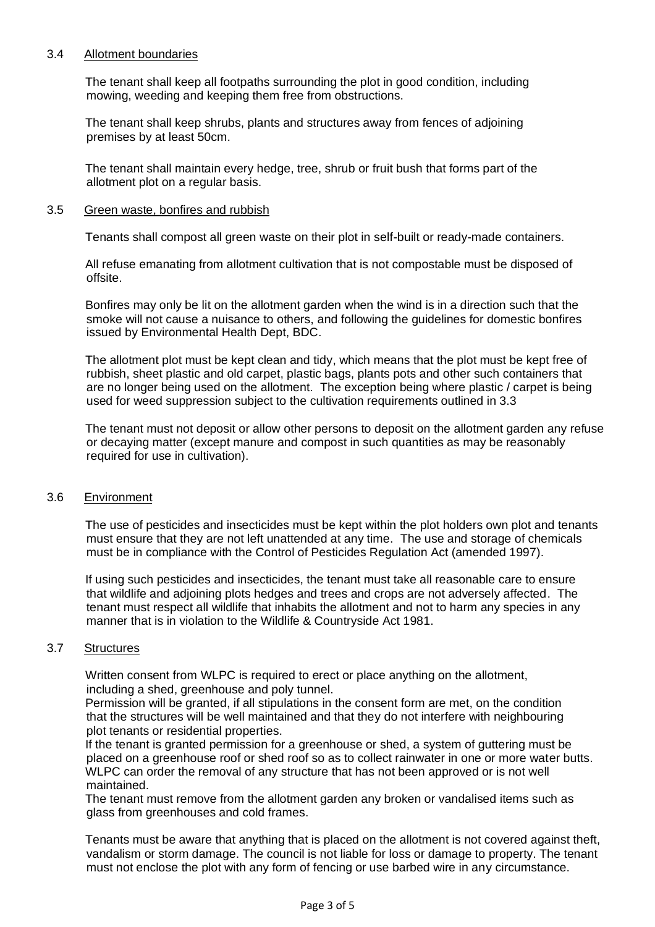## 3.4 Allotment boundaries

The tenant shall keep all footpaths surrounding the plot in good condition, including mowing, weeding and keeping them free from obstructions.

The tenant shall keep shrubs, plants and structures away from fences of adjoining premises by at least 50cm.

The tenant shall maintain every hedge, tree, shrub or fruit bush that forms part of the allotment plot on a regular basis.

#### 3.5 Green waste, bonfires and rubbish

Tenants shall compost all green waste on their plot in self-built or ready-made containers.

All refuse emanating from allotment cultivation that is not compostable must be disposed of offsite.

Bonfires may only be lit on the allotment garden when the wind is in a direction such that the smoke will not cause a nuisance to others, and following the guidelines for domestic bonfires issued by Environmental Health Dept, BDC.

The allotment plot must be kept clean and tidy, which means that the plot must be kept free of rubbish, sheet plastic and old carpet, plastic bags, plants pots and other such containers that are no longer being used on the allotment. The exception being where plastic / carpet is being used for weed suppression subject to the cultivation requirements outlined in 3.3

The tenant must not deposit or allow other persons to deposit on the allotment garden any refuse or decaying matter (except manure and compost in such quantities as may be reasonably required for use in cultivation).

#### 3.6 Environment

The use of pesticides and insecticides must be kept within the plot holders own plot and tenants must ensure that they are not left unattended at any time. The use and storage of chemicals must be in compliance with the Control of Pesticides Regulation Act (amended 1997).

If using such pesticides and insecticides, the tenant must take all reasonable care to ensure that wildlife and adjoining plots hedges and trees and crops are not adversely affected. The tenant must respect all wildlife that inhabits the allotment and not to harm any species in any manner that is in violation to the Wildlife & Countryside Act 1981.

#### 3.7 Structures

Written consent from WLPC is required to erect or place anything on the allotment, including a shed, greenhouse and poly tunnel.

Permission will be granted, if all stipulations in the consent form are met, on the condition that the structures will be well maintained and that they do not interfere with neighbouring plot tenants or residential properties.

If the tenant is granted permission for a greenhouse or shed, a system of guttering must be placed on a greenhouse roof or shed roof so as to collect rainwater in one or more water butts. WLPC can order the removal of any structure that has not been approved or is not well maintained.

The tenant must remove from the allotment garden any broken or vandalised items such as glass from greenhouses and cold frames.

Tenants must be aware that anything that is placed on the allotment is not covered against theft, vandalism or storm damage. The council is not liable for loss or damage to property. The tenant must not enclose the plot with any form of fencing or use barbed wire in any circumstance.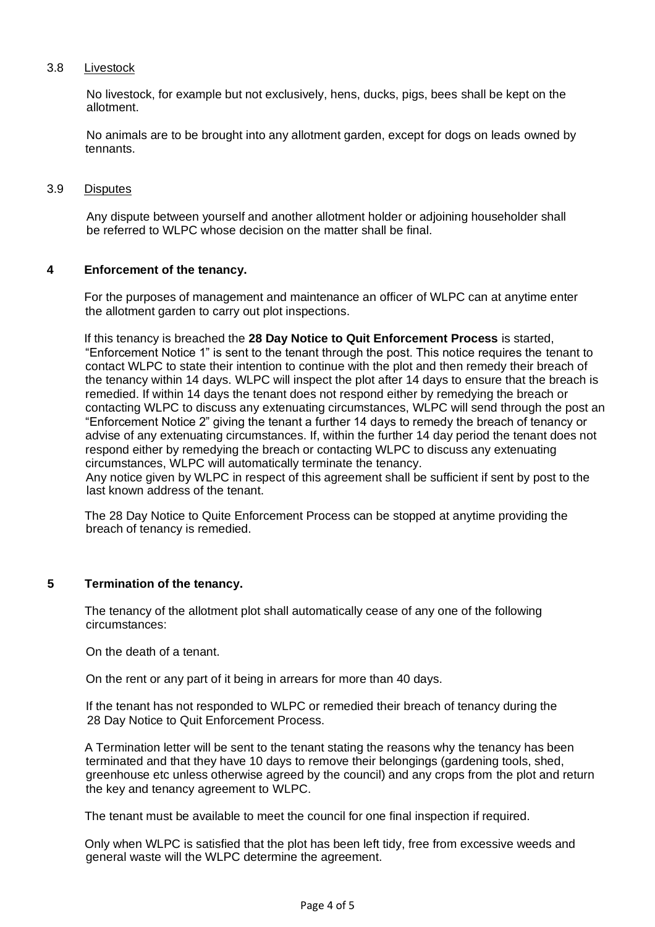# 3.8 Livestock

No livestock, for example but not exclusively, hens, ducks, pigs, bees shall be kept on the allotment.

No animals are to be brought into any allotment garden, except for dogs on leads owned by tennants.

#### 3.9 Disputes

Any dispute between yourself and another allotment holder or adjoining householder shall be referred to WLPC whose decision on the matter shall be final.

#### **4 Enforcement of the tenancy.**

For the purposes of management and maintenance an officer of WLPC can at anytime enter the allotment garden to carry out plot inspections.

If this tenancy is breached the **28 Day Notice to Quit Enforcement Process** is started, "Enforcement Notice 1" is sent to the tenant through the post. This notice requires the tenant to contact WLPC to state their intention to continue with the plot and then remedy their breach of the tenancy within 14 days. WLPC will inspect the plot after 14 days to ensure that the breach is remedied. If within 14 days the tenant does not respond either by remedying the breach or contacting WLPC to discuss any extenuating circumstances, WLPC will send through the post an "Enforcement Notice 2" giving the tenant a further 14 days to remedy the breach of tenancy or advise of any extenuating circumstances. If, within the further 14 day period the tenant does not respond either by remedying the breach or contacting WLPC to discuss any extenuating circumstances, WLPC will automatically terminate the tenancy.

Any notice given by WLPC in respect of this agreement shall be sufficient if sent by post to the last known address of the tenant.

The 28 Day Notice to Quite Enforcement Process can be stopped at anytime providing the breach of tenancy is remedied.

#### **5 Termination of the tenancy.**

The tenancy of the allotment plot shall automatically cease of any one of the following circumstances:

On the death of a tenant.

On the rent or any part of it being in arrears for more than 40 days.

If the tenant has not responded to WLPC or remedied their breach of tenancy during the 28 Day Notice to Quit Enforcement Process.

A Termination letter will be sent to the tenant stating the reasons why the tenancy has been terminated and that they have 10 days to remove their belongings (gardening tools, shed, greenhouse etc unless otherwise agreed by the council) and any crops from the plot and return the key and tenancy agreement to WLPC.

The tenant must be available to meet the council for one final inspection if required.

Only when WLPC is satisfied that the plot has been left tidy, free from excessive weeds and general waste will the WLPC determine the agreement.